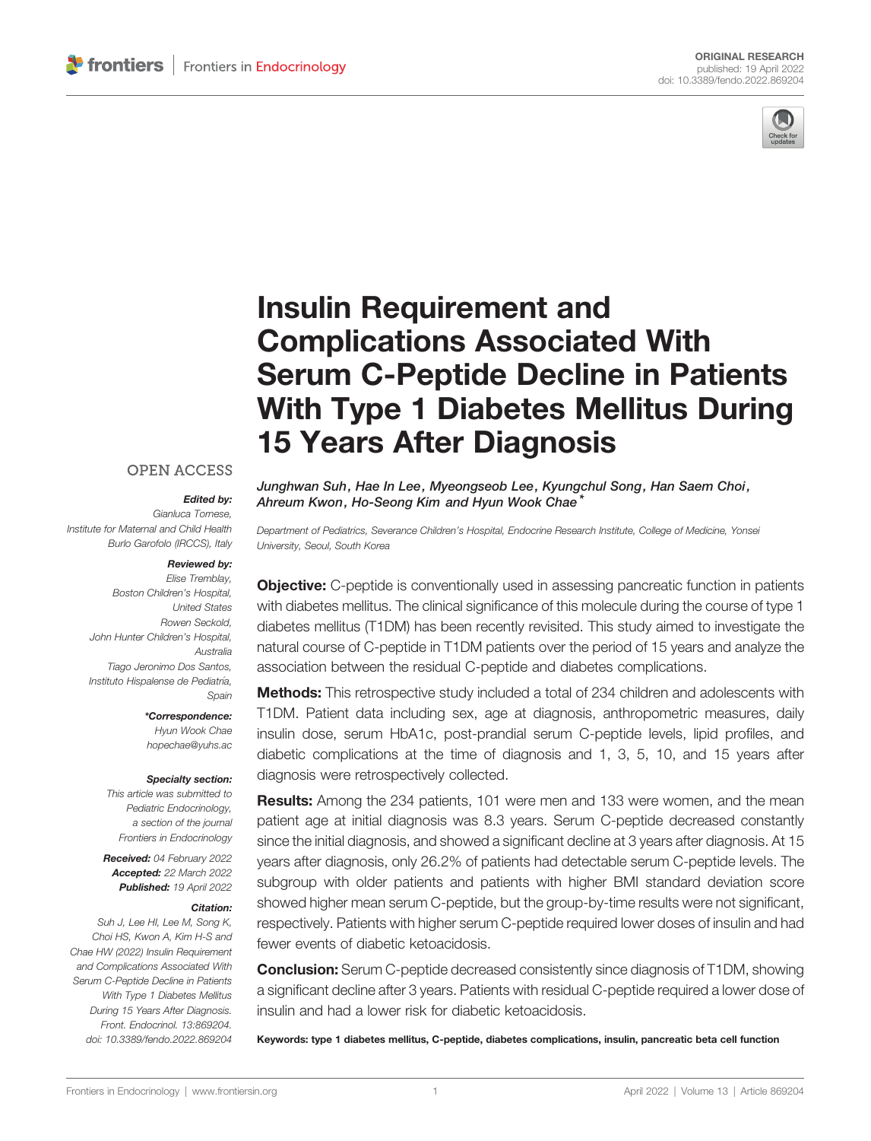

# [Insulin Requirement and](https://www.frontiersin.org/articles/10.3389/fendo.2022.869204/full) [Complications Associated With](https://www.frontiersin.org/articles/10.3389/fendo.2022.869204/full) [Serum C-Peptide Decline in Patients](https://www.frontiersin.org/articles/10.3389/fendo.2022.869204/full) [With Type 1 Diabetes Mellitus During](https://www.frontiersin.org/articles/10.3389/fendo.2022.869204/full) [15 Years After Diagnosis](https://www.frontiersin.org/articles/10.3389/fendo.2022.869204/full)

#### **OPEN ACCESS**

#### Edited by:

Gianluca Tornese, Institute for Maternal and Child Health Burlo Garofolo (IRCCS), Italy

#### Reviewed by:

Elise Tremblay, Boston Children's Hospital, United States Rowen Seckold, John Hunter Children's Hospital, Australia Tiago Jeronimo Dos Santos, Instituto Hispalense de Pediatría, Spain

\*Correspondence:

Hyun Wook Chae [hopechae@yuhs.ac](mailto:hopechae@yuhs.ac)

#### Specialty section:

This article was submitted to Pediatric Endocrinology, a section of the journal Frontiers in Endocrinology

Received: 04 February 2022 Accepted: 22 March 2022 Published: 19 April 2022

#### Citation:

Suh J, Lee HI, Lee M, Song K, Choi HS, Kwon A, Kim H-S and Chae HW (2022) Insulin Requirement and Complications Associated With Serum C-Peptide Decline in Patients With Type 1 Diabetes Mellitus During 15 Years After Diagnosis. Front. Endocrinol. 13:869204. [doi: 10.3389/fendo.2022.869204](https://doi.org/10.3389/fendo.2022.869204)

Junghwan Suh, Hae In Lee, Myeongseob Lee, Kyungchul Song, Han Saem Choi, Ahreum Kwon, Ho-Seong Kim and Hyun Wook Chae<sup>\*</sup>

Department of Pediatrics, Severance Children's Hospital, Endocrine Research Institute, College of Medicine, Yonsei University, Seoul, South Korea

**Objective:** C-peptide is conventionally used in assessing pancreatic function in patients with diabetes mellitus. The clinical significance of this molecule during the course of type 1 diabetes mellitus (T1DM) has been recently revisited. This study aimed to investigate the natural course of C-peptide in T1DM patients over the period of 15 years and analyze the association between the residual C-peptide and diabetes complications.

**Methods:** This retrospective study included a total of 234 children and adolescents with T1DM. Patient data including sex, age at diagnosis, anthropometric measures, daily insulin dose, serum HbA1c, post-prandial serum C-peptide levels, lipid profiles, and diabetic complications at the time of diagnosis and 1, 3, 5, 10, and 15 years after diagnosis were retrospectively collected.

Results: Among the 234 patients, 101 were men and 133 were women, and the mean patient age at initial diagnosis was 8.3 years. Serum C-peptide decreased constantly since the initial diagnosis, and showed a significant decline at 3 years after diagnosis. At 15 years after diagnosis, only 26.2% of patients had detectable serum C-peptide levels. The subgroup with older patients and patients with higher BMI standard deviation score showed higher mean serum C-peptide, but the group-by-time results were not significant, respectively. Patients with higher serum C-peptide required lower doses of insulin and had fewer events of diabetic ketoacidosis.

Conclusion: Serum C-peptide decreased consistently since diagnosis of T1DM, showing a significant decline after 3 years. Patients with residual C-peptide required a lower dose of insulin and had a lower risk for diabetic ketoacidosis.

Keywords: type 1 diabetes mellitus, C-peptide, diabetes complications, insulin, pancreatic beta cell function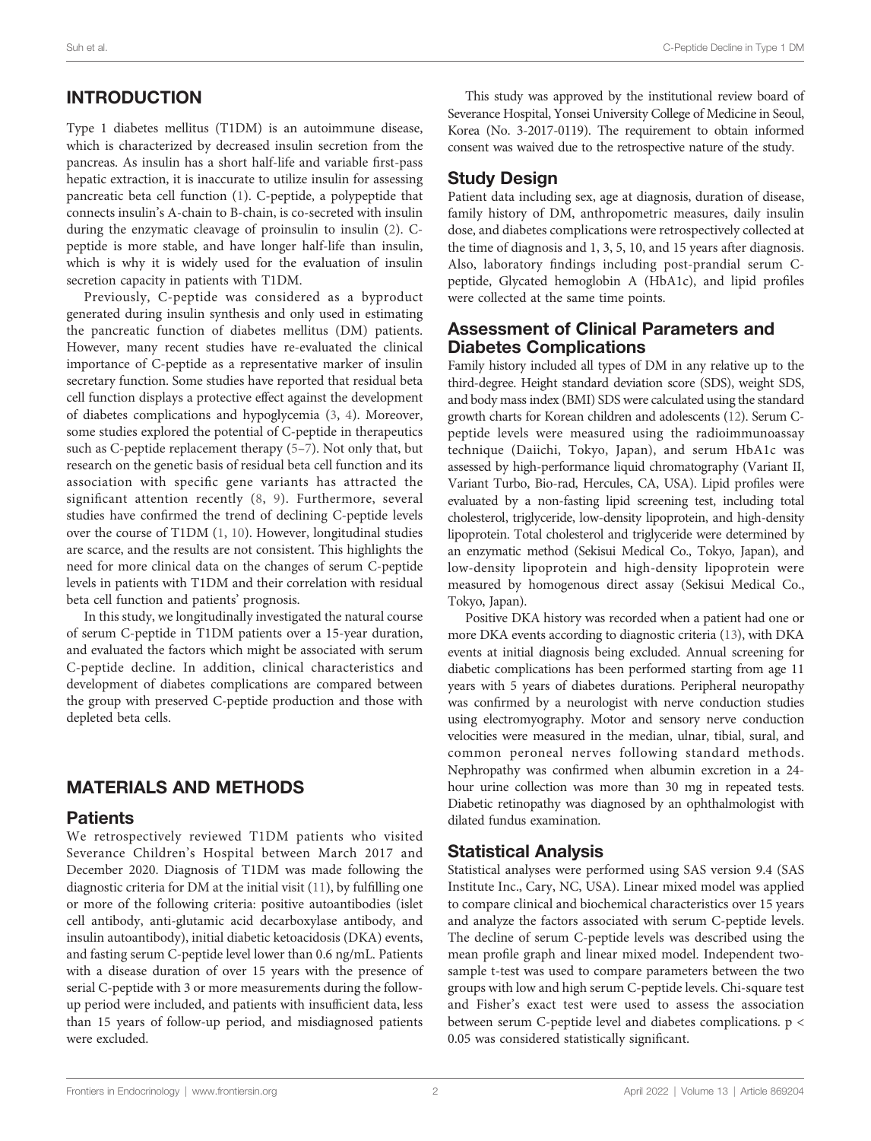# INTRODUCTION

Type 1 diabetes mellitus (T1DM) is an autoimmune disease, which is characterized by decreased insulin secretion from the pancreas. As insulin has a short half-life and variable first-pass hepatic extraction, it is inaccurate to utilize insulin for assessing pancreatic beta cell function ([1\)](#page-6-0). C-peptide, a polypeptide that connects insulin's A-chain to B-chain, is co-secreted with insulin during the enzymatic cleavage of proinsulin to insulin ([2](#page-6-0)). Cpeptide is more stable, and have longer half-life than insulin, which is why it is widely used for the evaluation of insulin secretion capacity in patients with T1DM.

Previously, C-peptide was considered as a byproduct generated during insulin synthesis and only used in estimating the pancreatic function of diabetes mellitus (DM) patients. However, many recent studies have re-evaluated the clinical importance of C-peptide as a representative marker of insulin secretary function. Some studies have reported that residual beta cell function displays a protective effect against the development of diabetes complications and hypoglycemia ([3](#page-6-0), [4\)](#page-6-0). Moreover, some studies explored the potential of C-peptide in therapeutics such as C-peptide replacement therapy [\(5](#page-6-0)–[7\)](#page-6-0). Not only that, but research on the genetic basis of residual beta cell function and its association with specific gene variants has attracted the significant attention recently ([8,](#page-6-0) [9\)](#page-6-0). Furthermore, several studies have confirmed the trend of declining C-peptide levels over the course of T1DM ([1](#page-6-0), [10](#page-6-0)). However, longitudinal studies are scarce, and the results are not consistent. This highlights the need for more clinical data on the changes of serum C-peptide levels in patients with T1DM and their correlation with residual beta cell function and patients' prognosis.

In this study, we longitudinally investigated the natural course of serum C-peptide in T1DM patients over a 15-year duration, and evaluated the factors which might be associated with serum C-peptide decline. In addition, clinical characteristics and development of diabetes complications are compared between the group with preserved C-peptide production and those with depleted beta cells.

# MATERIALS AND METHODS

#### **Patients**

We retrospectively reviewed T1DM patients who visited Severance Children's Hospital between March 2017 and December 2020. Diagnosis of T1DM was made following the diagnostic criteria for DM at the initial visit ([11\)](#page-6-0), by fulfilling one or more of the following criteria: positive autoantibodies (islet cell antibody, anti-glutamic acid decarboxylase antibody, and insulin autoantibody), initial diabetic ketoacidosis (DKA) events, and fasting serum C-peptide level lower than 0.6 ng/mL. Patients with a disease duration of over 15 years with the presence of serial C-peptide with 3 or more measurements during the followup period were included, and patients with insufficient data, less than 15 years of follow-up period, and misdiagnosed patients were excluded.

This study was approved by the institutional review board of Severance Hospital, Yonsei University College of Medicine in Seoul, Korea (No. 3-2017-0119). The requirement to obtain informed consent was waived due to the retrospective nature of the study.

# Study Design

Patient data including sex, age at diagnosis, duration of disease, family history of DM, anthropometric measures, daily insulin dose, and diabetes complications were retrospectively collected at the time of diagnosis and 1, 3, 5, 10, and 15 years after diagnosis. Also, laboratory findings including post-prandial serum Cpeptide, Glycated hemoglobin A (HbA1c), and lipid profiles were collected at the same time points.

#### Assessment of Clinical Parameters and Diabetes Complications

Family history included all types of DM in any relative up to the third-degree. Height standard deviation score (SDS), weight SDS, and body mass index (BMI) SDS were calculated using the standard growth charts for Korean children and adolescents ([12\)](#page-6-0). Serum Cpeptide levels were measured using the radioimmunoassay technique (Daiichi, Tokyo, Japan), and serum HbA1c was assessed by high-performance liquid chromatography (Variant II, Variant Turbo, Bio-rad, Hercules, CA, USA). Lipid profiles were evaluated by a non-fasting lipid screening test, including total cholesterol, triglyceride, low-density lipoprotein, and high-density lipoprotein. Total cholesterol and triglyceride were determined by an enzymatic method (Sekisui Medical Co., Tokyo, Japan), and low-density lipoprotein and high-density lipoprotein were measured by homogenous direct assay (Sekisui Medical Co., Tokyo, Japan).

Positive DKA history was recorded when a patient had one or more DKA events according to diagnostic criteria [\(13](#page-6-0)), with DKA events at initial diagnosis being excluded. Annual screening for diabetic complications has been performed starting from age 11 years with 5 years of diabetes durations. Peripheral neuropathy was confirmed by a neurologist with nerve conduction studies using electromyography. Motor and sensory nerve conduction velocities were measured in the median, ulnar, tibial, sural, and common peroneal nerves following standard methods. Nephropathy was confirmed when albumin excretion in a 24 hour urine collection was more than 30 mg in repeated tests. Diabetic retinopathy was diagnosed by an ophthalmologist with dilated fundus examination.

## Statistical Analysis

Statistical analyses were performed using SAS version 9.4 (SAS Institute Inc., Cary, NC, USA). Linear mixed model was applied to compare clinical and biochemical characteristics over 15 years and analyze the factors associated with serum C-peptide levels. The decline of serum C-peptide levels was described using the mean profile graph and linear mixed model. Independent twosample t-test was used to compare parameters between the two groups with low and high serum C-peptide levels. Chi-square test and Fisher's exact test were used to assess the association between serum C-peptide level and diabetes complications. p < 0.05 was considered statistically significant.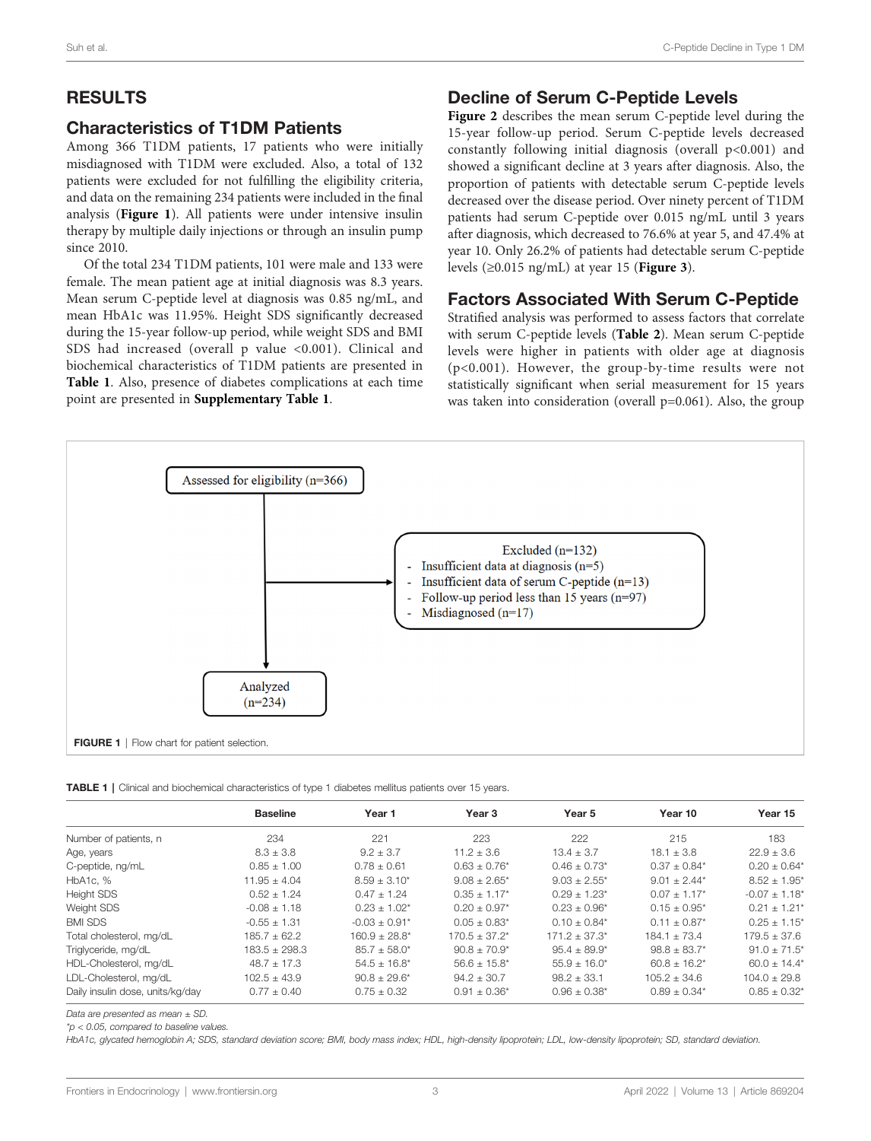# RESULTS

## Characteristics of T1DM Patients

Among 366 T1DM patients, 17 patients who were initially misdiagnosed with T1DM were excluded. Also, a total of 132 patients were excluded for not fulfilling the eligibility criteria, and data on the remaining 234 patients were included in the final analysis (Figure 1). All patients were under intensive insulin therapy by multiple daily injections or through an insulin pump since 2010.

Of the total 234 T1DM patients, 101 were male and 133 were female. The mean patient age at initial diagnosis was 8.3 years. Mean serum C-peptide level at diagnosis was 0.85 ng/mL, and mean HbA1c was 11.95%. Height SDS significantly decreased during the 15-year follow-up period, while weight SDS and BMI SDS had increased (overall p value <0.001). Clinical and biochemical characteristics of T1DM patients are presented in Table 1. Also, presence of diabetes complications at each time point are presented in [Supplementary Table 1](#page-5-0).

#### Decline of Serum C-Peptide Levels

[Figure 2](#page-3-0) describes the mean serum C-peptide level during the 15-year follow-up period. Serum C-peptide levels decreased constantly following initial diagnosis (overall p<0.001) and showed a significant decline at 3 years after diagnosis. Also, the proportion of patients with detectable serum C-peptide levels decreased over the disease period. Over ninety percent of T1DM patients had serum C-peptide over 0.015 ng/mL until 3 years after diagnosis, which decreased to 76.6% at year 5, and 47.4% at year 10. Only 26.2% of patients had detectable serum C-peptide levels  $(\geq 0.015 \text{ ng/mL})$  at year 15 (**[Figure 3](#page-3-0)**).

## Factors Associated With Serum C-Peptide

Stratified analysis was performed to assess factors that correlate with serum C-peptide levels ([Table 2](#page-4-0)). Mean serum C-peptide levels were higher in patients with older age at diagnosis (p<0.001). However, the group-by-time results were not statistically significant when serial measurement for 15 years was taken into consideration (overall p=0.061). Also, the group



TABLE 1 | Clinical and biochemical characteristics of type 1 diabetes mellitus patients over 15 years.

|                                  | <b>Baseline</b>   | Year 1            | Year 3                       | Year 5                       | Year 10                      | Year 15                      |
|----------------------------------|-------------------|-------------------|------------------------------|------------------------------|------------------------------|------------------------------|
| Number of patients, n            | 234               | 221               | 223                          | 222                          | 215                          | 183                          |
| Age, years                       | $8.3 \pm 3.8$     | $9.2 + 3.7$       | $11.2 + 3.6$                 | $13.4 + 3.7$                 | $18.1 + 3.8$                 | $22.9 + 3.6$                 |
| C-peptide, ng/mL                 | $0.85 + 1.00$     | $0.78 + 0.61$     | $0.63 + 0.76*$               | $0.46 \pm 0.73$ *            | $0.37 + 0.84*$               | $0.20 + 0.64*$               |
| HbA1c. %                         | $11.95 + 4.04$    | $8.59 \pm 3.10^*$ | $9.08 \pm 2.65^*$            | $9.03 \pm 2.55$ *            | $9.01 + 2.44*$               | $8.52 \pm 1.95$ <sup>*</sup> |
| <b>Height SDS</b>                | $0.52 + 1.24$     | $0.47 + 1.24$     | $0.35 + 1.17*$               | $0.29 \pm 1.23$ <sup>*</sup> | $0.07 + 1.17*$               | $-0.07 + 1.18*$              |
| Weight SDS                       | $-0.08 + 1.18$    | $0.23 + 1.02^*$   | $0.20 + 0.97*$               | $0.23 + 0.96*$               | $0.15 + 0.95^*$              | $0.21 + 1.21*$               |
| <b>BMI SDS</b>                   | $-0.55 + 1.31$    | $-0.03 + 0.91*$   | $0.05 \pm 0.83$ <sup>*</sup> | $0.10 \pm 0.84*$             | $0.11 \pm 0.87$ <sup>*</sup> | $0.25 + 1.15^*$              |
| Total cholesterol, mg/dL         | $185.7 + 62.2$    | $160.9 + 28.8^*$  | $170.5 + 37.2*$              | $171.2 + 37.3*$              | $184.1 + 73.4$               | $179.5 + 37.6$               |
| Triglyceride, mg/dL              | $183.5 \pm 298.3$ | $85.7 \pm 58.0^*$ | $90.8 \pm 70.9^*$            | $95.4 \pm 89.9^*$            | $98.8 \pm 83.7*$             | $91.0 \pm 71.5$ <sup>*</sup> |
| HDL-Cholesterol, mg/dL           | $48.7 + 17.3$     | $54.5 + 16.8^*$   | $56.6 + 15.8^*$              | $55.9 + 16.0*$               | $60.8 \pm 16.2^*$            | $60.0 \pm 14.4^*$            |
| LDL-Cholesterol, mg/dL           | $102.5 \pm 43.9$  | $90.8 \pm 29.6^*$ | $94.2 + 30.7$                | $98.2 \pm 33.1$              | $105.2 \pm 34.6$             | $104.0 \pm 29.8$             |
| Daily insulin dose, units/kg/day | $0.77 \pm 0.40$   | $0.75 \pm 0.32$   | $0.91 \pm 0.36^*$            | $0.96 \pm 0.38$ *            | $0.89 \pm 0.34*$             | $0.85 + 0.32^*$              |

Data are presented as mean + SD.

 $*p < 0.05$ , compared to baseline values

HbA1c, glycated hemoglobin A; SDS, standard deviation score; BMI, body mass index; HDL, high-density lipoprotein; LDL, low-density lipoprotein; SD, standard deviation.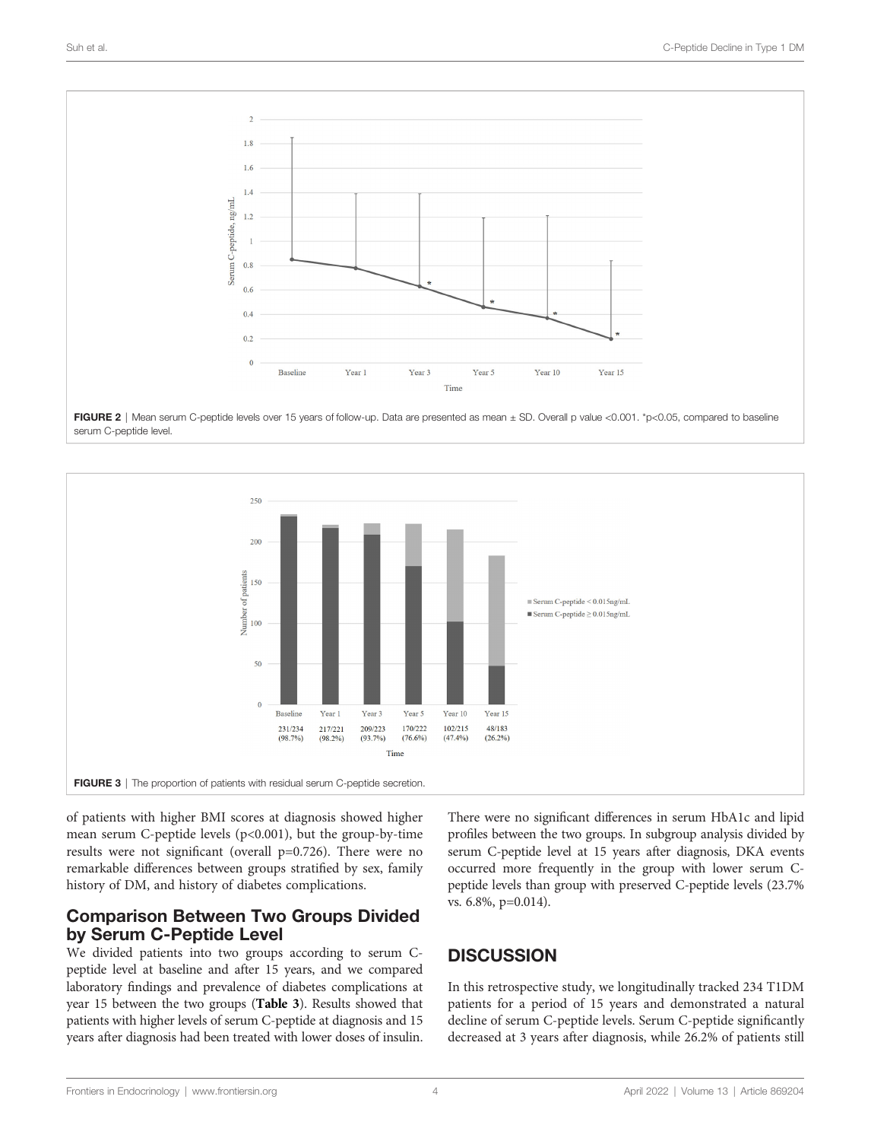<span id="page-3-0"></span>

FIGURE 2 | Mean serum C-peptide levels over 15 years of follow-up. Data are presented as mean ± SD. Overall p value <0.001. \*p<0.05, compared to baseline serum C-peptide level.



of patients with higher BMI scores at diagnosis showed higher mean serum C-peptide levels (p<0.001), but the group-by-time results were not significant (overall p=0.726). There were no remarkable differences between groups stratified by sex, family history of DM, and history of diabetes complications.

## Comparison Between Two Groups Divided by Serum C-Peptide Level

We divided patients into two groups according to serum Cpeptide level at baseline and after 15 years, and we compared laboratory findings and prevalence of diabetes complications at year 15 between the two groups ([Table 3](#page-4-0)). Results showed that patients with higher levels of serum C-peptide at diagnosis and 15 years after diagnosis had been treated with lower doses of insulin.

There were no significant differences in serum HbA1c and lipid profiles between the two groups. In subgroup analysis divided by serum C-peptide level at 15 years after diagnosis, DKA events occurred more frequently in the group with lower serum Cpeptide levels than group with preserved C-peptide levels (23.7% vs. 6.8%, p=0.014).

# **DISCUSSION**

In this retrospective study, we longitudinally tracked 234 T1DM patients for a period of 15 years and demonstrated a natural decline of serum C-peptide levels. Serum C-peptide significantly decreased at 3 years after diagnosis, while 26.2% of patients still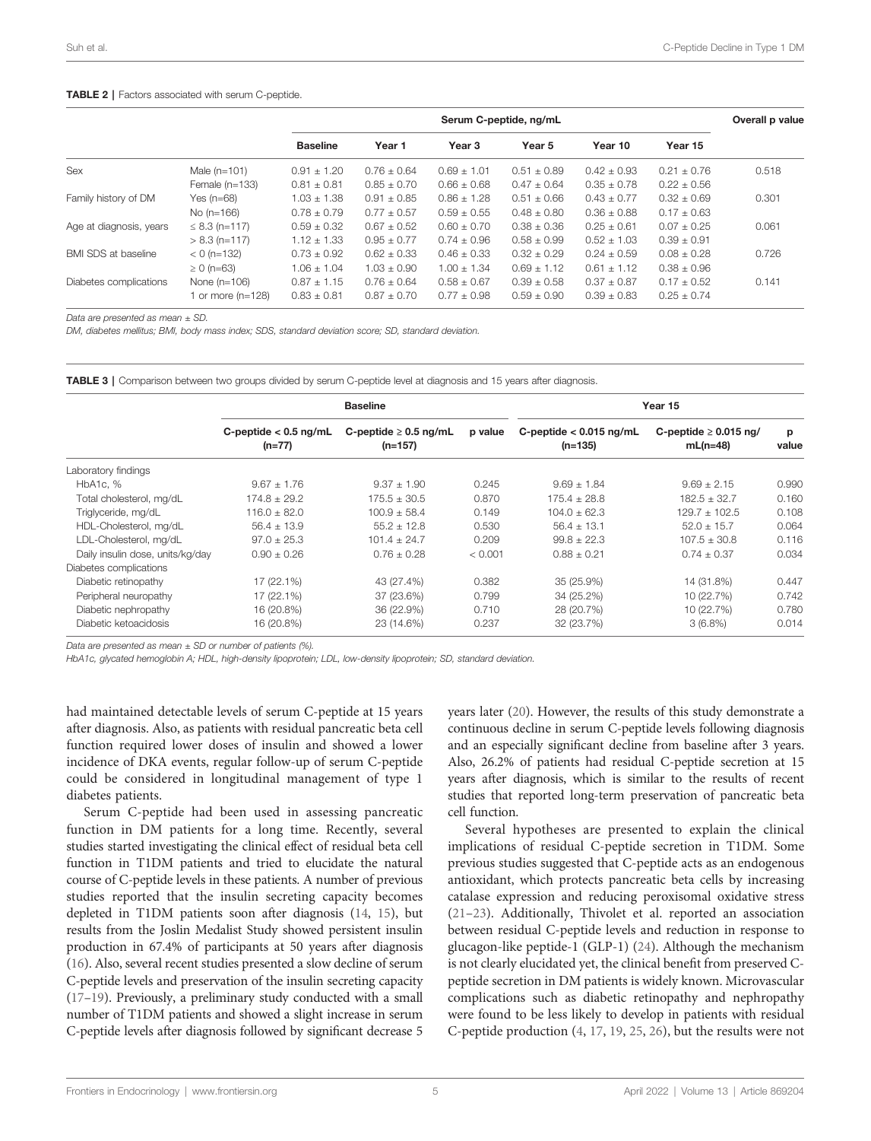#### <span id="page-4-0"></span>TABLE 2 | Factors associated with serum C-peptide.

|                            |                    | Serum C-peptide, ng/mL |                 |                   |                 |                 | Overall p value |       |
|----------------------------|--------------------|------------------------|-----------------|-------------------|-----------------|-----------------|-----------------|-------|
|                            |                    | <b>Baseline</b>        | Year 1          | Year <sub>3</sub> | Year 5          | Year 10         | Year 15         |       |
| Sex                        | Male $(n=101)$     | $0.91 \pm 1.20$        | $0.76 + 0.64$   | $0.69 + 1.01$     | $0.51 \pm 0.89$ | $0.42 \pm 0.93$ | $0.21 + 0.76$   | 0.518 |
|                            | Female $(n=133)$   | $0.81 \pm 0.81$        | $0.85 \pm 0.70$ | $0.66 \pm 0.68$   | $0.47 \pm 0.64$ | $0.35 \pm 0.78$ | $0.22 \pm 0.56$ |       |
| Family history of DM       | Yes $(n=68)$       | $1.03 \pm 1.38$        | $0.91 \pm 0.85$ | $0.86 \pm 1.28$   | $0.51 \pm 0.66$ | $0.43 \pm 0.77$ | $0.32 + 0.69$   | 0.301 |
|                            | No $(n=166)$       | $0.78 \pm 0.79$        | $0.77 + 0.57$   | $0.59 \pm 0.55$   | $0.48 \pm 0.80$ | $0.36 \pm 0.88$ | $0.17 \pm 0.63$ |       |
| Age at diagnosis, years    | $\leq$ 8.3 (n=117) | $0.59 \pm 0.32$        | $0.67 \pm 0.52$ | $0.60 \pm 0.70$   | $0.38 \pm 0.36$ | $0.25 \pm 0.61$ | $0.07 \pm 0.25$ | 0.061 |
|                            | $> 8.3$ (n=117)    | $1.12 \pm 1.33$        | $0.95 + 0.77$   | $0.74 \pm 0.96$   | $0.58 \pm 0.99$ | $0.52 + 1.03$   | $0.39 \pm 0.91$ |       |
| <b>BMI SDS at baseline</b> | $< 0$ (n=132)      | $0.73 \pm 0.92$        | $0.62 \pm 0.33$ | $0.46 \pm 0.33$   | $0.32 \pm 0.29$ | $0.24 \pm 0.59$ | $0.08 \pm 0.28$ | 0.726 |
|                            | $\geq 0$ (n=63)    | $1.06 \pm 1.04$        | $1.03 \pm 0.90$ | $1.00 + 1.34$     | $0.69 \pm 1.12$ | $0.61 \pm 1.12$ | $0.38 \pm 0.96$ |       |
| Diabetes complications     | None $(n=106)$     | $0.87 \pm 1.15$        | $0.76 \pm 0.64$ | $0.58 \pm 0.67$   | $0.39 \pm 0.58$ | $0.37 \pm 0.87$ | $0.17 + 0.52$   | 0.141 |
|                            | 1 or more (n=128)  | $0.83 \pm 0.81$        | $0.87 \pm 0.70$ | $0.77 \pm 0.98$   | $0.59 \pm 0.90$ | $0.39 \pm 0.83$ | $0.25 \pm 0.74$ |       |

Data are presented as mean + SD.

DM, diabetes mellitus; BMI, body mass index; SDS, standard deviation score; SD, standard deviation.

TABLE 3 | Comparison between two groups divided by serum C-peptide level at diagnosis and 15 years after diagnosis.

|                                  | <b>Baseline</b>                     |                                       |         | Year 15                              |                                          |            |  |
|----------------------------------|-------------------------------------|---------------------------------------|---------|--------------------------------------|------------------------------------------|------------|--|
|                                  | C-peptide $< 0.5$ ng/mL<br>$(n=77)$ | C-peptide $\geq$ 0.5 ng/mL<br>(n=157) | p value | C-peptide $< 0.015$ ng/mL<br>(n=135) | C-peptide $\geq 0.015$ ng/<br>$mL(n=48)$ | р<br>value |  |
| Laboratory findings              |                                     |                                       |         |                                      |                                          |            |  |
| HbA1c. %                         | $9.67 + 1.76$                       | $9.37 \pm 1.90$                       | 0.245   | $9.69 + 1.84$                        | $9.69 + 2.15$                            | 0.990      |  |
| Total cholesterol, mg/dL         | $174.8 + 29.2$                      | $175.5 + 30.5$                        | 0.870   | $175.4 \pm 28.8$                     | $182.5 + 32.7$                           | 0.160      |  |
| Triglyceride, mg/dL              | $116.0 + 82.0$                      | $100.9 + 58.4$                        | 0.149   | $104.0 + 62.3$                       | $129.7 + 102.5$                          | 0.108      |  |
| HDL-Cholesterol, mg/dL           | $56.4 \pm 13.9$                     | $55.2 + 12.8$                         | 0.530   | $56.4 + 13.1$                        | $52.0 + 15.7$                            | 0.064      |  |
| LDL-Cholesterol, mg/dL           | $97.0 \pm 25.3$                     | $101.4 \pm 24.7$                      | 0.209   | $99.8 \pm 22.3$                      | $107.5 \pm 30.8$                         | 0.116      |  |
| Daily insulin dose, units/kg/day | $0.90 \pm 0.26$                     | $0.76 \pm 0.28$                       | < 0.001 | $0.88 \pm 0.21$                      | $0.74 \pm 0.37$                          | 0.034      |  |
| Diabetes complications           |                                     |                                       |         |                                      |                                          |            |  |
| Diabetic retinopathy             | 17 (22.1%)                          | 43 (27.4%)                            | 0.382   | 35 (25.9%)                           | 14 (31.8%)                               | 0.447      |  |
| Peripheral neuropathy            | 17 (22.1%)                          | 37 (23.6%)                            | 0.799   | 34 (25.2%)                           | 10 (22.7%)                               | 0.742      |  |
| Diabetic nephropathy             | 16 (20.8%)                          | 36 (22.9%)                            | 0.710   | 28 (20.7%)                           | 10 (22.7%)                               | 0.780      |  |
| Diabetic ketoacidosis            | 16 (20.8%)                          | 23 (14.6%)                            | 0.237   | 32 (23.7%)                           | $3(6.8\%)$                               | 0.014      |  |

Data are presented as mean  $\pm$  SD or number of patients (%).

HbA1c, glycated hemoglobin A; HDL, high-density lipoprotein; LDL, low-density lipoprotein; SD, standard deviation.

had maintained detectable levels of serum C-peptide at 15 years after diagnosis. Also, as patients with residual pancreatic beta cell function required lower doses of insulin and showed a lower incidence of DKA events, regular follow-up of serum C-peptide could be considered in longitudinal management of type 1 diabetes patients.

Serum C-peptide had been used in assessing pancreatic function in DM patients for a long time. Recently, several studies started investigating the clinical effect of residual beta cell function in T1DM patients and tried to elucidate the natural course of C-peptide levels in these patients. A number of previous studies reported that the insulin secreting capacity becomes depleted in T1DM patients soon after diagnosis ([14](#page-6-0), [15](#page-6-0)), but results from the Joslin Medalist Study showed persistent insulin production in 67.4% of participants at 50 years after diagnosis ([16](#page-6-0)). Also, several recent studies presented a slow decline of serum C-peptide levels and preservation of the insulin secreting capacity ([17](#page-6-0)–[19](#page-6-0)). Previously, a preliminary study conducted with a small number of T1DM patients and showed a slight increase in serum C-peptide levels after diagnosis followed by significant decrease 5

years later [\(20](#page-6-0)). However, the results of this study demonstrate a continuous decline in serum C-peptide levels following diagnosis and an especially significant decline from baseline after 3 years. Also, 26.2% of patients had residual C-peptide secretion at 15 years after diagnosis, which is similar to the results of recent studies that reported long-term preservation of pancreatic beta cell function.

Several hypotheses are presented to explain the clinical implications of residual C-peptide secretion in T1DM. Some previous studies suggested that C-peptide acts as an endogenous antioxidant, which protects pancreatic beta cells by increasing catalase expression and reducing peroxisomal oxidative stress [\(21](#page-6-0)–[23](#page-6-0)). Additionally, Thivolet et al. reported an association between residual C-peptide levels and reduction in response to glucagon-like peptide-1 (GLP-1) ([24](#page-6-0)). Although the mechanism is not clearly elucidated yet, the clinical benefit from preserved Cpeptide secretion in DM patients is widely known. Microvascular complications such as diabetic retinopathy and nephropathy were found to be less likely to develop in patients with residual C-peptide production [\(4,](#page-6-0) [17](#page-6-0), [19,](#page-6-0) [25](#page-6-0), [26](#page-6-0)), but the results were not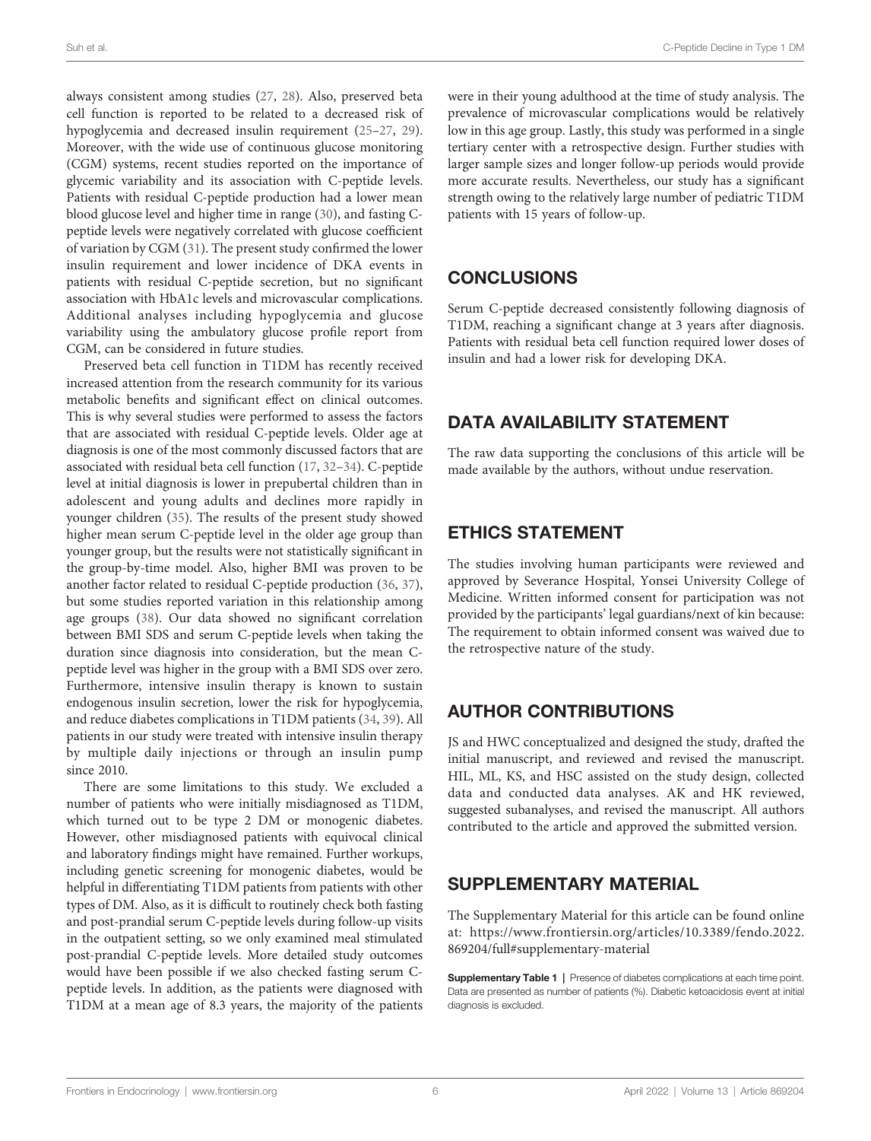<span id="page-5-0"></span>always consistent among studies ([27](#page-6-0), [28\)](#page-6-0). Also, preserved beta cell function is reported to be related to a decreased risk of hypoglycemia and decreased insulin requirement [\(25](#page-6-0)–[27](#page-6-0), [29\)](#page-6-0). Moreover, with the wide use of continuous glucose monitoring (CGM) systems, recent studies reported on the importance of glycemic variability and its association with C-peptide levels. Patients with residual C-peptide production had a lower mean blood glucose level and higher time in range [\(30\)](#page-6-0), and fasting Cpeptide levels were negatively correlated with glucose coefficient of variation by CGM [\(31](#page-6-0)). The present study confirmed the lower insulin requirement and lower incidence of DKA events in patients with residual C-peptide secretion, but no significant association with HbA1c levels and microvascular complications. Additional analyses including hypoglycemia and glucose variability using the ambulatory glucose profile report from CGM, can be considered in future studies.

Preserved beta cell function in T1DM has recently received increased attention from the research community for its various metabolic benefits and significant effect on clinical outcomes. This is why several studies were performed to assess the factors that are associated with residual C-peptide levels. Older age at diagnosis is one of the most commonly discussed factors that are associated with residual beta cell function [\(17](#page-6-0), [32](#page-6-0)–[34\)](#page-6-0). C-peptide level at initial diagnosis is lower in prepubertal children than in adolescent and young adults and declines more rapidly in younger children [\(35](#page-6-0)). The results of the present study showed higher mean serum C-peptide level in the older age group than younger group, but the results were not statistically significant in the group-by-time model. Also, higher BMI was proven to be another factor related to residual C-peptide production ([36](#page-7-0), [37\)](#page-7-0), but some studies reported variation in this relationship among age groups [\(38](#page-7-0)). Our data showed no significant correlation between BMI SDS and serum C-peptide levels when taking the duration since diagnosis into consideration, but the mean Cpeptide level was higher in the group with a BMI SDS over zero. Furthermore, intensive insulin therapy is known to sustain endogenous insulin secretion, lower the risk for hypoglycemia, and reduce diabetes complications in T1DM patients [\(34](#page-6-0), [39\)](#page-7-0). All patients in our study were treated with intensive insulin therapy by multiple daily injections or through an insulin pump since 2010.

There are some limitations to this study. We excluded a number of patients who were initially misdiagnosed as T1DM, which turned out to be type 2 DM or monogenic diabetes. However, other misdiagnosed patients with equivocal clinical and laboratory findings might have remained. Further workups, including genetic screening for monogenic diabetes, would be helpful in differentiating T1DM patients from patients with other types of DM. Also, as it is difficult to routinely check both fasting and post-prandial serum C-peptide levels during follow-up visits in the outpatient setting, so we only examined meal stimulated post-prandial C-peptide levels. More detailed study outcomes would have been possible if we also checked fasting serum Cpeptide levels. In addition, as the patients were diagnosed with T1DM at a mean age of 8.3 years, the majority of the patients

were in their young adulthood at the time of study analysis. The prevalence of microvascular complications would be relatively low in this age group. Lastly, this study was performed in a single tertiary center with a retrospective design. Further studies with larger sample sizes and longer follow-up periods would provide more accurate results. Nevertheless, our study has a significant strength owing to the relatively large number of pediatric T1DM patients with 15 years of follow-up.

# **CONCLUSIONS**

Serum C-peptide decreased consistently following diagnosis of T1DM, reaching a significant change at 3 years after diagnosis. Patients with residual beta cell function required lower doses of insulin and had a lower risk for developing DKA.

# DATA AVAILABILITY STATEMENT

The raw data supporting the conclusions of this article will be made available by the authors, without undue reservation.

# ETHICS STATEMENT

The studies involving human participants were reviewed and approved by Severance Hospital, Yonsei University College of Medicine. Written informed consent for participation was not provided by the participants' legal guardians/next of kin because: The requirement to obtain informed consent was waived due to the retrospective nature of the study.

# AUTHOR CONTRIBUTIONS

JS and HWC conceptualized and designed the study, drafted the initial manuscript, and reviewed and revised the manuscript. HIL, ML, KS, and HSC assisted on the study design, collected data and conducted data analyses. AK and HK reviewed, suggested subanalyses, and revised the manuscript. All authors contributed to the article and approved the submitted version.

# SUPPLEMENTARY MATERIAL

The Supplementary Material for this article can be found online at: [https://www.frontiersin.org/articles/10.3389/fendo.2022.](https://www.frontiersin.org/articles/10.3389/fendo.2022.869204/full#supplementary-material) [869204/full#supplementary-material](https://www.frontiersin.org/articles/10.3389/fendo.2022.869204/full#supplementary-material)

Supplementary Table 1 | Presence of diabetes complications at each time point. Data are presented as number of patients (%). Diabetic ketoacidosis event at initial diagnosis is excluded.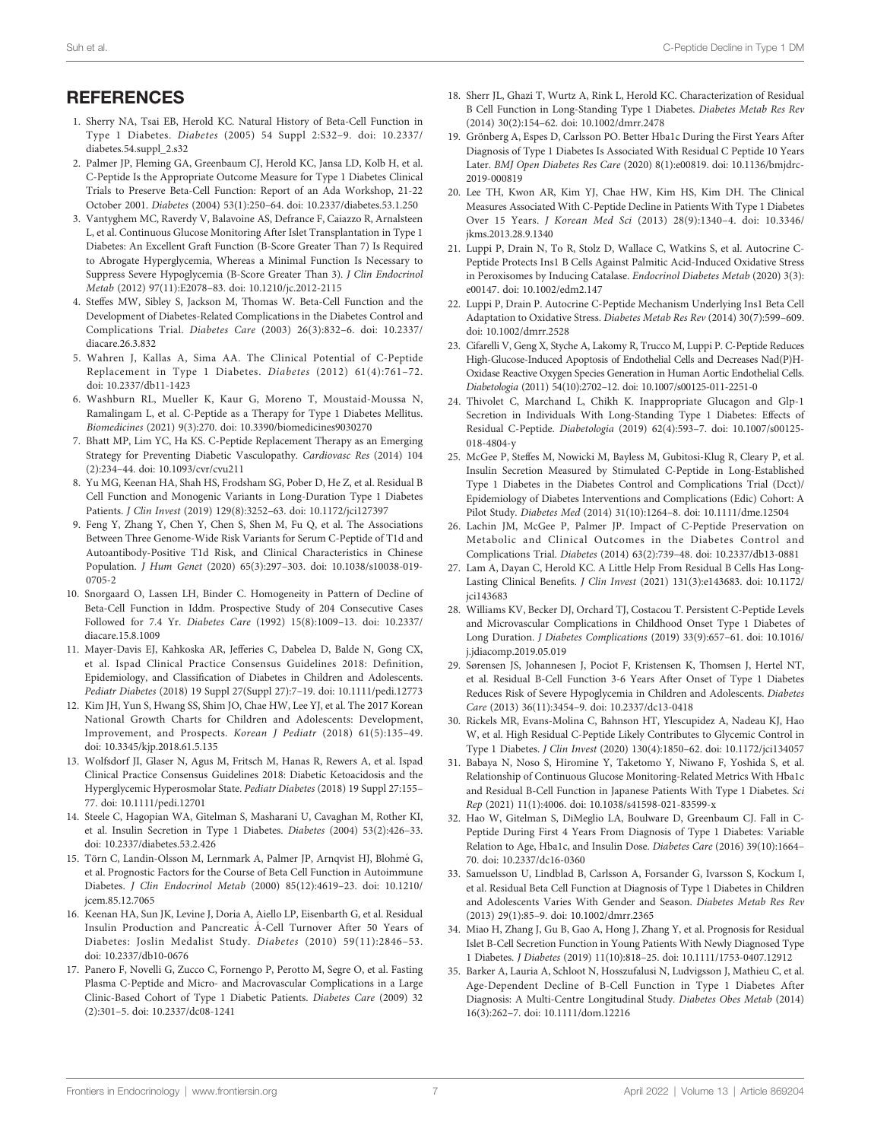## <span id="page-6-0"></span>**REFERENCES**

- 1. Sherry NA, Tsai EB, Herold KC. Natural History of Beta-Cell Function in Type 1 Diabetes. Diabetes (2005) 54 Suppl 2:S32–9. doi: [10.2337/](https://doi.org/10.2337/diabetes.54.suppl_2.s32) [diabetes.54.suppl\\_2.s32](https://doi.org/10.2337/diabetes.54.suppl_2.s32)
- 2. Palmer JP, Fleming GA, Greenbaum CJ, Herold KC, Jansa LD, Kolb H, et al. C-Peptide Is the Appropriate Outcome Measure for Type 1 Diabetes Clinical Trials to Preserve Beta-Cell Function: Report of an Ada Workshop, 21-22 October 2001. Diabetes (2004) 53(1):250–64. doi: [10.2337/diabetes.53.1.250](https://doi.org/10.2337/diabetes.53.1.250)
- 3. Vantyghem MC, Raverdy V, Balavoine AS, Defrance F, Caiazzo R, Arnalsteen L, et al. Continuous Glucose Monitoring After Islet Transplantation in Type 1 Diabetes: An Excellent Graft Function (B-Score Greater Than 7) Is Required to Abrogate Hyperglycemia, Whereas a Minimal Function Is Necessary to Suppress Severe Hypoglycemia (B-Score Greater Than 3). J Clin Endocrinol Metab (2012) 97(11):E2078–83. doi: [10.1210/jc.2012-2115](https://doi.org/10.1210/jc.2012-2115)
- 4. Steffes MW, Sibley S, Jackson M, Thomas W. Beta-Cell Function and the Development of Diabetes-Related Complications in the Diabetes Control and Complications Trial. Diabetes Care (2003) 26(3):832–6. doi: [10.2337/](https://doi.org/10.2337/diacare.26.3.832) [diacare.26.3.832](https://doi.org/10.2337/diacare.26.3.832)
- 5. Wahren J, Kallas A, Sima AA. The Clinical Potential of C-Peptide Replacement in Type 1 Diabetes. Diabetes (2012) 61(4):761–72. doi: [10.2337/db11-1423](https://doi.org/10.2337/db11-1423)
- 6. Washburn RL, Mueller K, Kaur G, Moreno T, Moustaid-Moussa N, Ramalingam L, et al. C-Peptide as a Therapy for Type 1 Diabetes Mellitus. Biomedicines (2021) 9(3):270. doi: [10.3390/biomedicines9030270](https://doi.org/10.3390/biomedicines9030270)
- 7. Bhatt MP, Lim YC, Ha KS. C-Peptide Replacement Therapy as an Emerging Strategy for Preventing Diabetic Vasculopathy. Cardiovasc Res (2014) 104 (2):234–44. doi: [10.1093/cvr/cvu211](https://doi.org/10.1093/cvr/cvu211)
- 8. Yu MG, Keenan HA, Shah HS, Frodsham SG, Pober D, He Z, et al. Residual B Cell Function and Monogenic Variants in Long-Duration Type 1 Diabetes Patients. J Clin Invest (2019) 129(8):3252–63. doi: [10.1172/jci127397](https://doi.org/10.1172/jci127397)
- 9. Feng Y, Zhang Y, Chen Y, Chen S, Shen M, Fu Q, et al. The Associations Between Three Genome-Wide Risk Variants for Serum C-Peptide of T1d and Autoantibody-Positive T1d Risk, and Clinical Characteristics in Chinese Population. J Hum Genet (2020) 65(3):297–303. doi: [10.1038/s10038-019-](https://doi.org/10.1038/s10038-019-0705-2) [0705-2](https://doi.org/10.1038/s10038-019-0705-2)
- 10. Snorgaard O, Lassen LH, Binder C. Homogeneity in Pattern of Decline of Beta-Cell Function in Iddm. Prospective Study of 204 Consecutive Cases Followed for 7.4 Yr. Diabetes Care (1992) 15(8):1009–13. doi: [10.2337/](https://doi.org/10.2337/diacare.15.8.1009) [diacare.15.8.1009](https://doi.org/10.2337/diacare.15.8.1009)
- 11. Mayer-Davis EJ, Kahkoska AR, Jefferies C, Dabelea D, Balde N, Gong CX, et al. Ispad Clinical Practice Consensus Guidelines 2018: Definition, Epidemiology, and Classification of Diabetes in Children and Adolescents. Pediatr Diabetes (2018) 19 Suppl 27(Suppl 27):7–19. doi: [10.1111/pedi.12773](https://doi.org/10.1111/pedi.12773)
- 12. Kim JH, Yun S, Hwang SS, Shim JO, Chae HW, Lee YJ, et al. The 2017 Korean National Growth Charts for Children and Adolescents: Development, Improvement, and Prospects. Korean J Pediatr (2018) 61(5):135–49. doi: [10.3345/kjp.2018.61.5.135](https://doi.org/10.3345/kjp.2018.61.5.135)
- 13. Wolfsdorf JI, Glaser N, Agus M, Fritsch M, Hanas R, Rewers A, et al. Ispad Clinical Practice Consensus Guidelines 2018: Diabetic Ketoacidosis and the Hyperglycemic Hyperosmolar State. Pediatr Diabetes (2018) 19 Suppl 27:155– 77. doi: [10.1111/pedi.12701](https://doi.org/10.1111/pedi.12701)
- 14. Steele C, Hagopian WA, Gitelman S, Masharani U, Cavaghan M, Rother KI, et al. Insulin Secretion in Type 1 Diabetes. Diabetes (2004) 53(2):426–33. doi: [10.2337/diabetes.53.2.426](https://doi.org/10.2337/diabetes.53.2.426)
- 15. Törn C, Landin-Olsson M, Lernmark A, Palmer JP, Arnqvist HJ, Blohmé G, et al. Prognostic Factors for the Course of Beta Cell Function in Autoimmune Diabetes. J Clin Endocrinol Metab (2000) 85(12):4619–23. doi: [10.1210/](https://doi.org/10.1210/jcem.85.12.7065) [jcem.85.12.7065](https://doi.org/10.1210/jcem.85.12.7065)
- 16. Keenan HA, Sun JK, Levine J, Doria A, Aiello LP, Eisenbarth G, et al. Residual Insulin Production and Pancreatic Á -Cell Turnover After 50 Years of Diabetes: Joslin Medalist Study. Diabetes (2010) 59(11):2846–53. doi: [10.2337/db10-0676](https://doi.org/10.2337/db10-0676)
- 17. Panero F, Novelli G, Zucco C, Fornengo P, Perotto M, Segre O, et al. Fasting Plasma C-Peptide and Micro- and Macrovascular Complications in a Large Clinic-Based Cohort of Type 1 Diabetic Patients. Diabetes Care (2009) 32 (2):301–5. doi: [10.2337/dc08-1241](https://doi.org/10.2337/dc08-1241)
- 18. Sherr JL, Ghazi T, Wurtz A, Rink L, Herold KC. Characterization of Residual B Cell Function in Long-Standing Type 1 Diabetes. Diabetes Metab Res Rev (2014) 30(2):154–62. doi: [10.1002/dmrr.2478](https://doi.org/10.1002/dmrr.2478)
- 19. Grönberg A, Espes D, Carlsson PO. Better Hba1c During the First Years After Diagnosis of Type 1 Diabetes Is Associated With Residual C Peptide 10 Years Later. BMJ Open Diabetes Res Care (2020) 8(1):e00819. doi: [10.1136/bmjdrc-](https://doi.org/10.1136/bmjdrc-2019-000819)[2019-000819](https://doi.org/10.1136/bmjdrc-2019-000819)
- 20. Lee TH, Kwon AR, Kim YJ, Chae HW, Kim HS, Kim DH. The Clinical Measures Associated With C-Peptide Decline in Patients With Type 1 Diabetes Over 15 Years. J Korean Med Sci (2013) 28(9):1340–4. doi: [10.3346/](https://doi.org/10.3346/jkms.2013.28.9.1340) [jkms.2013.28.9.1340](https://doi.org/10.3346/jkms.2013.28.9.1340)
- 21. Luppi P, Drain N, To R, Stolz D, Wallace C, Watkins S, et al. Autocrine C-Peptide Protects Ins1 B Cells Against Palmitic Acid-Induced Oxidative Stress in Peroxisomes by Inducing Catalase. Endocrinol Diabetes Metab (2020) 3(3): e00147. doi: [10.1002/edm2.147](https://doi.org/10.1002/edm2.147)
- 22. Luppi P, Drain P. Autocrine C-Peptide Mechanism Underlying Ins1 Beta Cell Adaptation to Oxidative Stress. Diabetes Metab Res Rev (2014) 30(7):599–609. doi: [10.1002/dmrr.2528](https://doi.org/10.1002/dmrr.2528)
- 23. Cifarelli V, Geng X, Styche A, Lakomy R, Trucco M, Luppi P. C-Peptide Reduces High-Glucose-Induced Apoptosis of Endothelial Cells and Decreases Nad(P)H-Oxidase Reactive Oxygen Species Generation in Human Aortic Endothelial Cells. Diabetologia (2011) 54(10):2702–12. doi: [10.1007/s00125-011-2251-0](https://doi.org/10.1007/s00125-011-2251-0)
- 24. Thivolet C, Marchand L, Chikh K. Inappropriate Glucagon and Glp-1 Secretion in Individuals With Long-Standing Type 1 Diabetes: Effects of Residual C-Peptide. Diabetologia (2019) 62(4):593–7. doi: [10.1007/s00125-](https://doi.org/10.1007/s00125-018-4804-y) [018-4804-y](https://doi.org/10.1007/s00125-018-4804-y)
- 25. McGee P, Steffes M, Nowicki M, Bayless M, Gubitosi-Klug R, Cleary P, et al. Insulin Secretion Measured by Stimulated C-Peptide in Long-Established Type 1 Diabetes in the Diabetes Control and Complications Trial (Dcct)/ Epidemiology of Diabetes Interventions and Complications (Edic) Cohort: A Pilot Study. Diabetes Med (2014) 31(10):1264–8. doi: [10.1111/dme.12504](https://doi.org/10.1111/dme.12504)
- 26. Lachin JM, McGee P, Palmer JP. Impact of C-Peptide Preservation on Metabolic and Clinical Outcomes in the Diabetes Control and Complications Trial. Diabetes (2014) 63(2):739–48. doi: [10.2337/db13-0881](https://doi.org/10.2337/db13-0881)
- 27. Lam A, Dayan C, Herold KC. A Little Help From Residual B Cells Has Long-Lasting Clinical Benefits. J Clin Invest (2021) 131(3):e143683. doi: [10.1172/](https://doi.org/10.1172/jci143683) [jci143683](https://doi.org/10.1172/jci143683)
- 28. Williams KV, Becker DJ, Orchard TJ, Costacou T. Persistent C-Peptide Levels and Microvascular Complications in Childhood Onset Type 1 Diabetes of Long Duration. J Diabetes Complications (2019) 33(9):657–61. doi: [10.1016/](https://doi.org/10.1016/j.jdiacomp.2019.05.019) [j.jdiacomp.2019.05.019](https://doi.org/10.1016/j.jdiacomp.2019.05.019)
- 29. Sørensen JS, Johannesen J, Pociot F, Kristensen K, Thomsen J, Hertel NT, et al. Residual B-Cell Function 3-6 Years After Onset of Type 1 Diabetes Reduces Risk of Severe Hypoglycemia in Children and Adolescents. Diabetes Care (2013) 36(11):3454–9. doi: [10.2337/dc13-0418](https://doi.org/10.2337/dc13-0418)
- 30. Rickels MR, Evans-Molina C, Bahnson HT, Ylescupidez A, Nadeau KJ, Hao W, et al. High Residual C-Peptide Likely Contributes to Glycemic Control in Type 1 Diabetes. J Clin Invest (2020) 130(4):1850–62. doi: [10.1172/jci134057](https://doi.org/10.1172/jci134057)
- 31. Babaya N, Noso S, Hiromine Y, Taketomo Y, Niwano F, Yoshida S, et al. Relationship of Continuous Glucose Monitoring-Related Metrics With Hba1c and Residual B-Cell Function in Japanese Patients With Type 1 Diabetes. Sci Rep (2021) 11(1):4006. doi: [10.1038/s41598-021-83599-x](https://doi.org/10.1038/s41598-021-83599-x)
- 32. Hao W, Gitelman S, DiMeglio LA, Boulware D, Greenbaum CJ. Fall in C-Peptide During First 4 Years From Diagnosis of Type 1 Diabetes: Variable Relation to Age, Hba1c, and Insulin Dose. Diabetes Care (2016) 39(10):1664– 70. doi: [10.2337/dc16-0360](https://doi.org/10.2337/dc16-0360)
- 33. Samuelsson U, Lindblad B, Carlsson A, Forsander G, Ivarsson S, Kockum I, et al. Residual Beta Cell Function at Diagnosis of Type 1 Diabetes in Children and Adolescents Varies With Gender and Season. Diabetes Metab Res Rev (2013) 29(1):85–9. doi: [10.1002/dmrr.2365](https://doi.org/10.1002/dmrr.2365)
- 34. Miao H, Zhang J, Gu B, Gao A, Hong J, Zhang Y, et al. Prognosis for Residual Islet B-Cell Secretion Function in Young Patients With Newly Diagnosed Type 1 Diabetes. J Diabetes (2019) 11(10):818–25. doi: [10.1111/1753-0407.12912](https://doi.org/10.1111/1753-0407.12912)
- 35. Barker A, Lauria A, Schloot N, Hosszufalusi N, Ludvigsson J, Mathieu C, et al. Age-Dependent Decline of B-Cell Function in Type 1 Diabetes After Diagnosis: A Multi-Centre Longitudinal Study. Diabetes Obes Metab (2014) 16(3):262–7. doi: [10.1111/dom.12216](https://doi.org/10.1111/dom.12216)